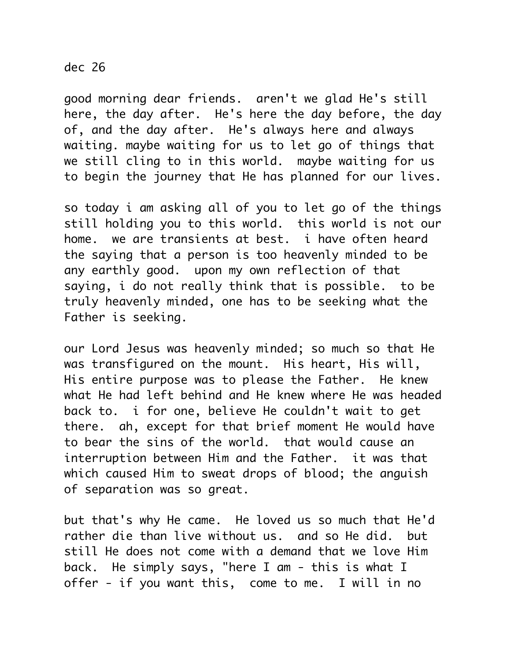## dec 26

good morning dear friends. aren't we glad He's still here, the day after. He's here the day before, the day of, and the day after. He's always here and always waiting. maybe waiting for us to let go of things that we still cling to in this world. maybe waiting for us to begin the journey that He has planned for our lives.

so today i am asking all of you to let go of the things still holding you to this world. this world is not our home. we are transients at best. i have often heard the saying that a person is too heavenly minded to be any earthly good. upon my own reflection of that saying, i do not really think that is possible. to be truly heavenly minded, one has to be seeking what the Father is seeking.

our Lord Jesus was heavenly minded; so much so that He was transfigured on the mount. His heart, His will, His entire purpose was to please the Father. He knew what He had left behind and He knew where He was headed back to. i for one, believe He couldn't wait to get there. ah, except for that brief moment He would have to bear the sins of the world. that would cause an interruption between Him and the Father. it was that which caused Him to sweat drops of blood; the anguish of separation was so great.

but that's why He came. He loved us so much that He'd rather die than live without us. and so He did. but still He does not come with a demand that we love Him back. He simply says, "here I am - this is what I offer - if you want this, come to me. I will in no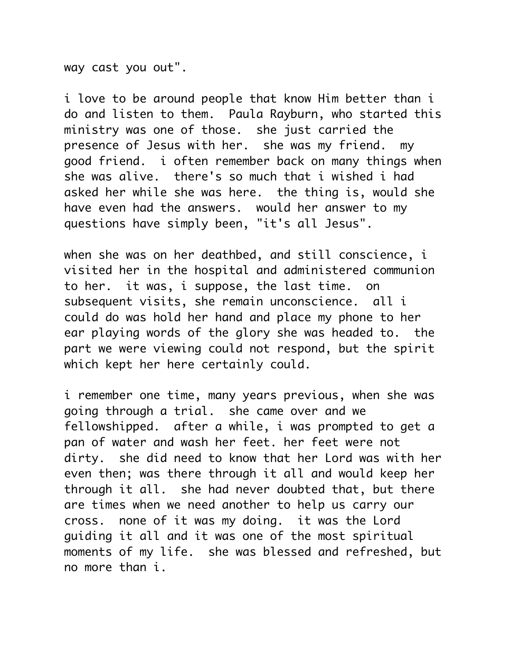way cast you out".

i love to be around people that know Him better than i do and listen to them. Paula Rayburn, who started this ministry was one of those. she just carried the presence of Jesus with her. she was my friend. my good friend. i often remember back on many things when she was alive. there's so much that i wished i had asked her while she was here. the thing is, would she have even had the answers. would her answer to my questions have simply been, "it's all Jesus".

when she was on her deathbed, and still conscience, i visited her in the hospital and administered communion to her. it was, i suppose, the last time. on subsequent visits, she remain unconscience. all i could do was hold her hand and place my phone to her ear playing words of the glory she was headed to. the part we were viewing could not respond, but the spirit which kept her here certainly could.

i remember one time, many years previous, when she was going through a trial. she came over and we fellowshipped. after a while, i was prompted to get a pan of water and wash her feet. her feet were not dirty. she did need to know that her Lord was with her even then; was there through it all and would keep her through it all. she had never doubted that, but there are times when we need another to help us carry our cross. none of it was my doing. it was the Lord guiding it all and it was one of the most spiritual moments of my life. she was blessed and refreshed, but no more than i.